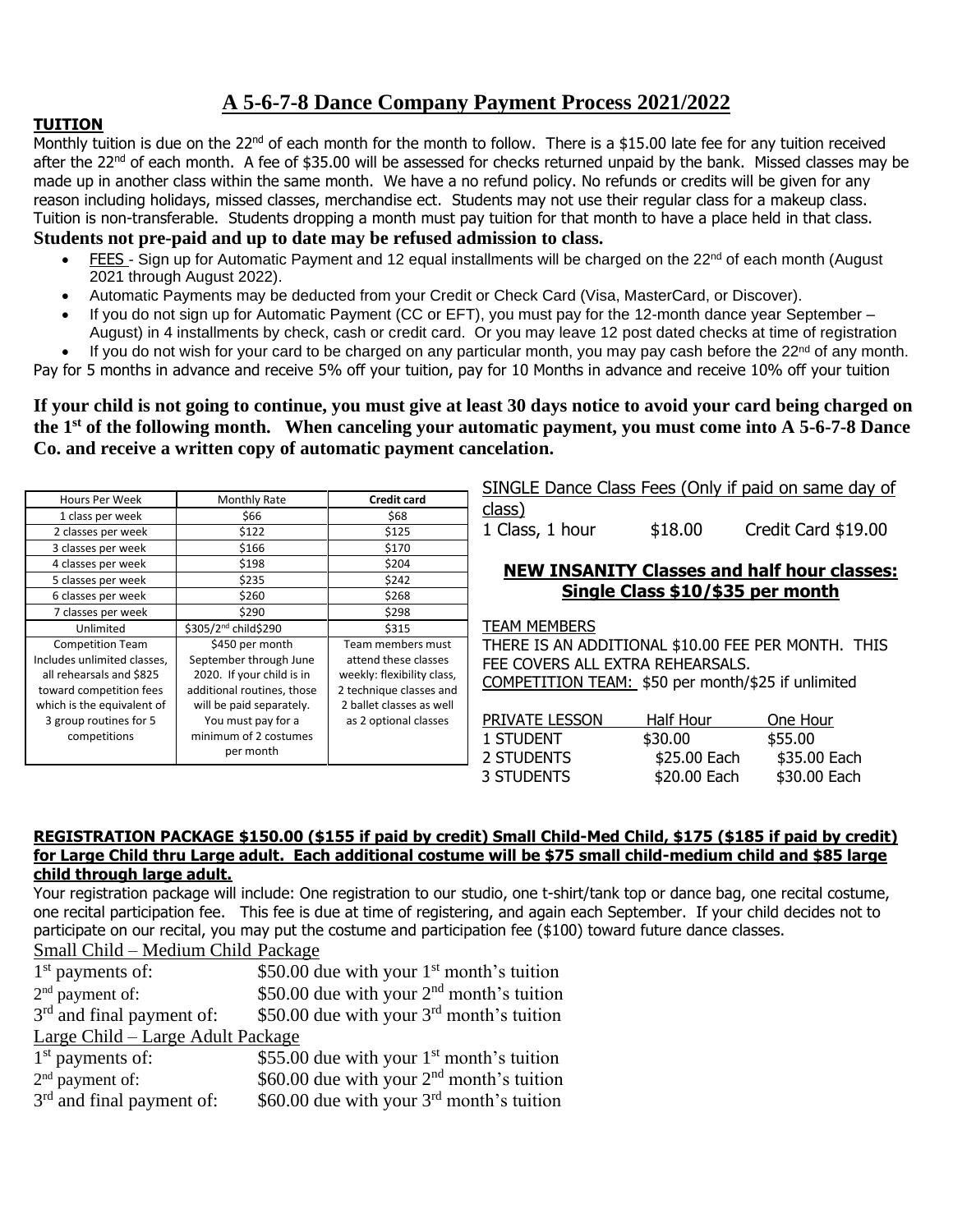# **A 5-6-7-8 Dance Company Payment Process 2021/2022**

## **TUITION**

Monthly tuition is due on the 22<sup>nd</sup> of each month for the month to follow. There is a \$15.00 late fee for any tuition received after the  $22^{nd}$  of each month. A fee of \$35.00 will be assessed for checks returned unpaid by the bank. Missed classes may be made up in another class within the same month. We have a no refund policy. No refunds or credits will be given for any reason including holidays, missed classes, merchandise ect. Students may not use their regular class for a makeup class. Tuition is non-transferable. Students dropping a month must pay tuition for that month to have a place held in that class.

### **Students not pre-paid and up to date may be refused admission to class.**

- FEES Sign up for Automatic Payment and 12 equal installments will be charged on the 22<sup>nd</sup> of each month (August 2021 through August 2022).
- Automatic Payments may be deducted from your Credit or Check Card (Visa, MasterCard, or Discover).
- If you do not sign up for Automatic Payment (CC or EFT), you must pay for the 12-month dance year September August) in 4 installments by check, cash or credit card. Or you may leave 12 post dated checks at time of registration
- If you do not wish for your card to be charged on any particular month, you may pay cash before the 22<sup>nd</sup> of any month.

Pay for 5 months in advance and receive 5% off your tuition, pay for 10 Months in advance and receive 10% off your tuition

**If your child is not going to continue, you must give at least 30 days notice to avoid your card being charged on the 1st of the following month. When canceling your automatic payment, you must come into A 5-6-7-8 Dance Co. and receive a written copy of automatic payment cancelation.**

| Hours Per Week              | Monthly Rate                     | <b>Credit card</b>         |
|-----------------------------|----------------------------------|----------------------------|
| 1 class per week            | \$66                             | \$68                       |
| 2 classes per week          | \$122                            | \$125                      |
| 3 classes per week          | \$166                            | \$170                      |
| 4 classes per week          | \$198                            | \$204                      |
| 5 classes per week          | \$235                            | \$242                      |
| 6 classes per week          | \$260                            | \$268                      |
| 7 classes per week          | \$290                            | \$298                      |
| Unlimited                   | \$305/2 <sup>nd</sup> child\$290 | \$315                      |
| <b>Competition Team</b>     | \$450 per month                  | Team members must          |
| Includes unlimited classes, | September through June           | attend these classes       |
| all rehearsals and \$825    | 2020. If your child is in        | weekly: flexibility class, |
| toward competition fees     | additional routines, those       | 2 technique classes and    |
| which is the equivalent of  | will be paid separately.         | 2 ballet classes as well   |
| 3 group routines for 5      | You must pay for a               | as 2 optional classes      |
| competitions                | minimum of 2 costumes            |                            |
|                             | per month                        |                            |

SINGLE Dance Class Fees (Only if paid on same day of class)

1 Class, 1 hour \$18.00 Credit Card \$19.00

### **NEW INSANITY Classes and half hour classes: Single Class \$10/\$35 per month**

TEAM MEMBERS

THERE IS AN ADDITIONAL \$10.00 FEE PER MONTH. THIS FEE COVERS ALL EXTRA REHEARSALS. COMPETITION TEAM: \$50 per month/\$25 if unlimited

| <b>PRIVATE LESSON</b> | Half Hour    | One Hour     |
|-----------------------|--------------|--------------|
| 1 STUDENT             | \$30.00      | \$55.00      |
| 2 STUDENTS            | \$25.00 Each | \$35.00 Each |
| 3 STUDENTS            | \$20,00 Each | \$30.00 Each |

#### **REGISTRATION PACKAGE \$150.00 (\$155 if paid by credit) Small Child-Med Child, \$175 (\$185 if paid by credit) for Large Child thru Large adult. Each additional costume will be \$75 small child-medium child and \$85 large child through large adult.**

Your registration package will include: One registration to our studio, one t-shirt/tank top or dance bag, one recital costume, one recital participation fee. This fee is due at time of registering, and again each September. If your child decides not to participate on our recital, you may put the costume and participation fee (\$100) toward future dance classes.

Small Child – Medium Child Package

| $1st$ payments of:                | \$50.00 due with your $1st$ month's tuition           |  |  |  |  |
|-----------------------------------|-------------------------------------------------------|--|--|--|--|
| $2nd$ payment of:                 | \$50.00 due with your 2 <sup>nd</sup> month's tuition |  |  |  |  |
| $3rd$ and final payment of:       | \$50.00 due with your 3 <sup>rd</sup> month's tuition |  |  |  |  |
| Large Child – Large Adult Package |                                                       |  |  |  |  |
| $1st$ payments of:                | \$55.00 due with your $1st$ month's tuition           |  |  |  |  |
| $2nd$ payment of:                 | \$60.00 due with your $2nd$ month's tuition           |  |  |  |  |
| $3rd$ and final payment of:       | \$60.00 due with your $3rd$ month's tuition           |  |  |  |  |
|                                   |                                                       |  |  |  |  |